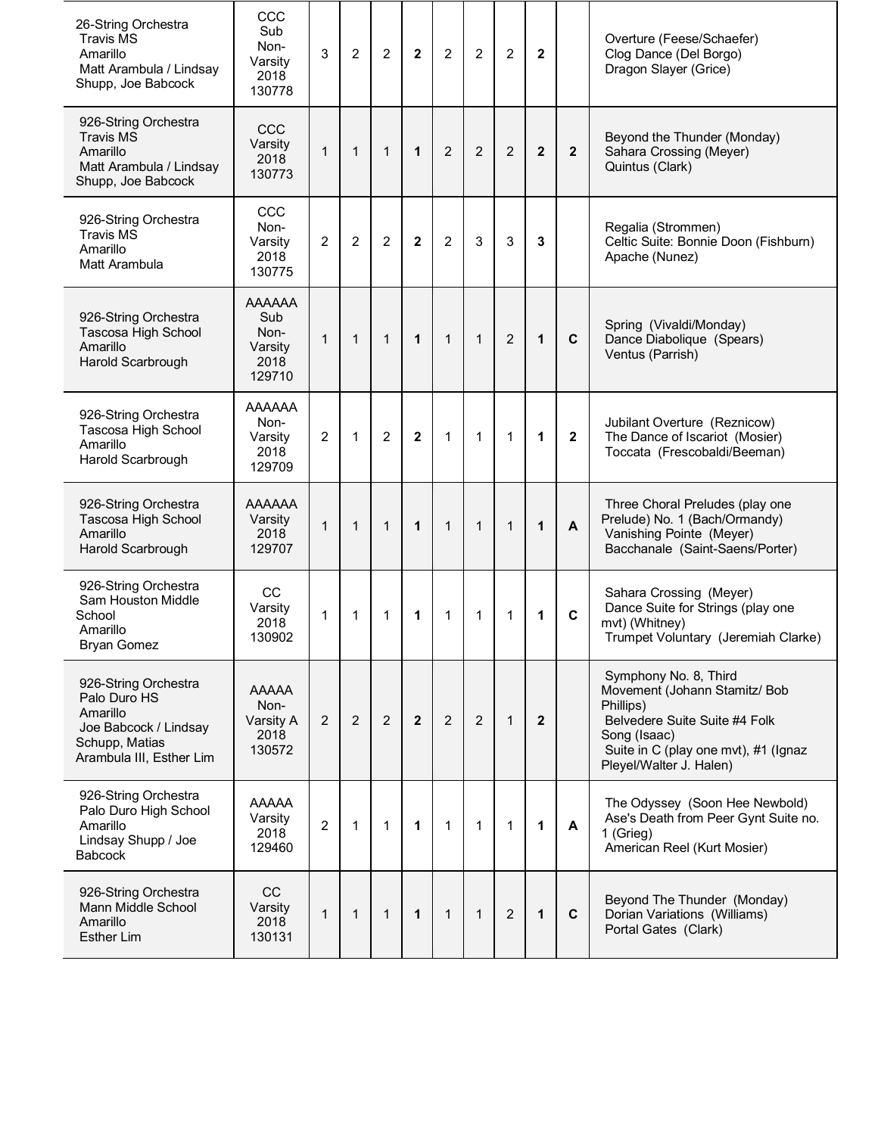| 26-String Orchestra<br><b>Travis MS</b><br>Amarillo<br>Matt Arambula / Lindsay<br>Shupp, Joe Babcock                    | CCC<br>Sub<br>Non-<br>Varsity<br>2018<br>130778           | 3              | $\overline{c}$ | $\overline{c}$ | $\mathbf 2$    | $\overline{c}$ | $\overline{c}$ | $\overline{c}$ | $\mathbf{2}$   |              | Overture (Feese/Schaefer)<br>Clog Dance (Del Borgo)<br>Dragon Slayer (Grice)                                                                                                            |
|-------------------------------------------------------------------------------------------------------------------------|-----------------------------------------------------------|----------------|----------------|----------------|----------------|----------------|----------------|----------------|----------------|--------------|-----------------------------------------------------------------------------------------------------------------------------------------------------------------------------------------|
| 926-String Orchestra<br><b>Travis MS</b><br>Amarillo<br>Matt Arambula / Lindsay<br>Shupp, Joe Babcock                   | CCC<br>Varsity<br>2018<br>130773                          | $\mathbf{1}$   | $\mathbf{1}$   | $\mathbf{1}$   | $\mathbf{1}$   | $\overline{2}$ | $\overline{2}$ | $\overline{2}$ | $\mathbf{2}$   | $\mathbf{2}$ | Beyond the Thunder (Monday)<br>Sahara Crossing (Meyer)<br>Quintus (Clark)                                                                                                               |
| 926-String Orchestra<br><b>Travis MS</b><br>Amarillo<br>Matt Arambula                                                   | CCC<br>Non-<br>Varsity<br>2018<br>130775                  | $\overline{2}$ | $\overline{2}$ | $\overline{2}$ | $\mathbf 2$    | $\overline{2}$ | 3              | 3              | 3              |              | Regalia (Strommen)<br>Celtic Suite: Bonnie Doon (Fishburn)<br>Apache (Nunez)                                                                                                            |
| 926-String Orchestra<br>Tascosa High School<br>Amarillo<br>Harold Scarbrough                                            | <b>AAAAAA</b><br>Sub<br>Non-<br>Varsity<br>2018<br>129710 | $\mathbf{1}$   | $\mathbf{1}$   | $\mathbf{1}$   | 1              | $\mathbf{1}$   | $\mathbf{1}$   | $\overline{2}$ | 1              | $\mathbf c$  | Spring (Vivaldi/Monday)<br>Dance Diabolique (Spears)<br>Ventus (Parrish)                                                                                                                |
| 926-String Orchestra<br>Tascosa High School<br>Amarillo<br>Harold Scarbrough                                            | <b>AAAAAA</b><br>Non-<br>Varsity<br>2018<br>129709        | $\overline{2}$ | $\mathbf{1}$   | $\overline{2}$ | $\mathbf{2}$   | 1              | $\mathbf{1}$   | $\mathbf{1}$   | 1              | $\mathbf{2}$ | Jubilant Overture (Reznicow)<br>The Dance of Iscariot (Mosier)<br>Toccata (Frescobaldi/Beeman)                                                                                          |
| 926-String Orchestra<br>Tascosa High School<br>Amarillo<br>Harold Scarbrough                                            | <b>AAAAAA</b><br>Varsity<br>2018<br>129707                | $\mathbf{1}$   | $\mathbf{1}$   | $\mathbf{1}$   | 1              | $\mathbf{1}$   | $\mathbf{1}$   | $\mathbf{1}$   | 1              | A            | Three Choral Preludes (play one<br>Prelude) No. 1 (Bach/Ormandy)<br>Vanishing Pointe (Meyer)<br>Bacchanale (Saint-Saens/Porter)                                                         |
| 926-String Orchestra<br>Sam Houston Middle<br>School<br>Amarillo<br><b>Bryan Gomez</b>                                  | CC<br>Varsity<br>2018<br>130902                           | $\mathbf{1}$   | $\mathbf{1}$   | 1              | 1              | 1              | 1              | $\mathbf{1}$   | 1              | $\mathbf c$  | Sahara Crossing (Meyer)<br>Dance Suite for Strings (play one<br>mvt) (Whitney)<br>Trumpet Voluntary (Jeremiah Clarke)                                                                   |
| 926-String Orchestra<br>Palo Duro HS<br>Amarillo<br>Joe Babcock / Lindsay<br>Schupp, Matias<br>Arambula III, Esther Lim | <b>AAAAA</b><br>Non-<br>Varsity A<br>2018<br>130572       | $\overline{2}$ | $\overline{c}$ | 2              | $\overline{2}$ | 2              | $\overline{c}$ | $\mathbf{1}$   | $\overline{2}$ |              | Symphony No. 8, Third<br>Movement (Johann Stamitz/ Bob<br>Phillips)<br>Belvedere Suite Suite #4 Folk<br>Song (Isaac)<br>Suite in C (play one mvt), #1 (Ignaz<br>Pleyel/Walter J. Halen) |
| 926-String Orchestra<br>Palo Duro High School<br>Amarillo<br>Lindsay Shupp / Joe<br><b>Babcock</b>                      | <b>AAAAA</b><br>Varsity<br>2018<br>129460                 | $\overline{2}$ | $\mathbf{1}$   | 1              | 1              | $\mathbf 1$    | 1              | 1              | 1              | A            | The Odyssey (Soon Hee Newbold)<br>Ase's Death from Peer Gynt Suite no.<br>1 (Grieg)<br>American Reel (Kurt Mosier)                                                                      |
| 926-String Orchestra<br>Mann Middle School<br>Amarillo<br><b>Esther Lim</b>                                             | CC<br>Varsity<br>2018<br>130131                           | $\mathbf{1}$   | $\mathbf 1$    | $\mathbf{1}$   | $\mathbf{1}$   | $\mathbf{1}$   | $\mathbf 1$    | $\overline{2}$ | 1              | $\mathbf c$  | Beyond The Thunder (Monday)<br>Dorian Variations (Williams)<br>Portal Gates (Clark)                                                                                                     |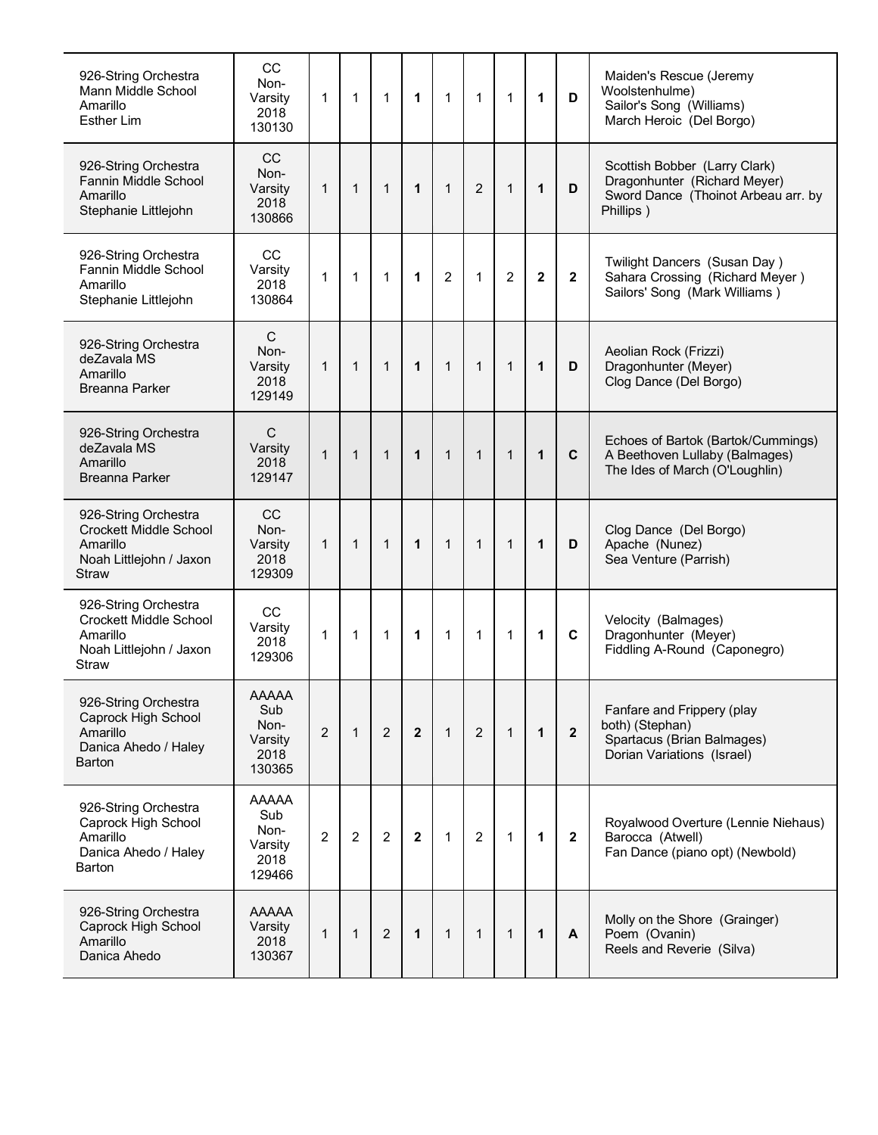| 926-String Orchestra<br>Mann Middle School<br>Amarillo<br><b>Esther Lim</b>                                  | CC<br>Non-<br>Varsity<br>2018<br>130130                  | 1              | 1              | 1              | 1              | $\mathbf{1}$ | $\mathbf 1$    | $\mathbf 1$    | 1            | D              | Maiden's Rescue (Jeremy<br>Woolstenhulme)<br>Sailor's Song (Williams)<br>March Heroic (Del Borgo)                 |
|--------------------------------------------------------------------------------------------------------------|----------------------------------------------------------|----------------|----------------|----------------|----------------|--------------|----------------|----------------|--------------|----------------|-------------------------------------------------------------------------------------------------------------------|
| 926-String Orchestra<br>Fannin Middle School<br>Amarillo<br>Stephanie Littlejohn                             | CC<br>Non-<br>Varsity<br>2018<br>130866                  | $\mathbf 1$    | $\mathbf{1}$   | $\mathbf{1}$   | $\mathbf{1}$   | $\mathbf{1}$ | 2              | $\mathbf{1}$   | $\mathbf 1$  | D              | Scottish Bobber (Larry Clark)<br>Dragonhunter (Richard Meyer)<br>Sword Dance (Thoinot Arbeau arr. by<br>Phillips) |
| 926-String Orchestra<br>Fannin Middle School<br>Amarillo<br>Stephanie Littlejohn                             | CС<br>Varsity<br>2018<br>130864                          | $\mathbf{1}$   | $\mathbf{1}$   | 1              | 1              | 2            | $\mathbf{1}$   | 2              | $\mathbf{2}$ | $\overline{2}$ | Twilight Dancers (Susan Day)<br>Sahara Crossing (Richard Meyer)<br>Sailors' Song (Mark Williams)                  |
| 926-String Orchestra<br>deZavala MS<br>Amarillo<br><b>Breanna Parker</b>                                     | $\mathsf C$<br>Non-<br>Varsity<br>2018<br>129149         | $\mathbf 1$    | $\mathbf{1}$   | $\mathbf{1}$   | $\mathbf{1}$   | $\mathbf{1}$ | $\mathbf{1}$   | $\mathbf 1$    | $\mathbf{1}$ | D              | Aeolian Rock (Frizzi)<br>Dragonhunter (Meyer)<br>Clog Dance (Del Borgo)                                           |
| 926-String Orchestra<br>deZavala MS<br>Amarillo<br><b>Breanna Parker</b>                                     | C<br>Varsity<br>2018<br>129147                           | $\mathbf{1}$   | $\mathbf{1}$   | $\mathbf{1}$   | $\mathbf 1$    | $\mathbf 1$  | $\mathbf{1}$   | $\mathbf 1$    | $\mathbf 1$  | $\mathbf C$    | Echoes of Bartok (Bartok/Cummings)<br>A Beethoven Lullaby (Balmages)<br>The Ides of March (O'Loughlin)            |
| 926-String Orchestra<br><b>Crockett Middle School</b><br>Amarillo<br>Noah Littlejohn / Jaxon<br><b>Straw</b> | <b>CC</b><br>Non-<br>Varsity<br>2018<br>129309           | $\mathbf 1$    | $\mathbf{1}$   | $\mathbf{1}$   | $\mathbf{1}$   | $\mathbf 1$  | $\mathbf{1}$   | $\mathbf{1}$   | 1            | D              | Clog Dance (Del Borgo)<br>Apache (Nunez)<br>Sea Venture (Parrish)                                                 |
| 926-String Orchestra<br><b>Crockett Middle School</b><br>Amarillo<br>Noah Littlejohn / Jaxon<br>Straw        | CC<br>Varsity<br>2018<br>129306                          | 1              | $\mathbf 1$    | 1              | $\mathbf 1$    | $\mathbf 1$  | $\mathbf 1$    | 1              | $\mathbf 1$  | C              | Velocity (Balmages)<br>Dragonhunter (Meyer)<br>Fiddling A-Round (Caponegro)                                       |
| 926-String Orchestra<br>Caprock High School<br>Amarillo<br>Danica Ahedo / Haley<br><b>Barton</b>             | <b>AAAAA</b><br>Sub<br>Non-<br>Varsity<br>2018<br>130365 | $\overline{2}$ | $\mathbf{1}$   | $\overline{2}$ | $\overline{2}$ | $\mathbf{1}$ | 2              | $\overline{1}$ | $\mathbf{1}$ | $\overline{2}$ | Fanfare and Frippery (play<br>both) (Stephan)<br>Spartacus (Brian Balmages)<br>Dorian Variations (Israel)         |
| 926-String Orchestra<br>Caprock High School<br>Amarillo<br>Danica Ahedo / Haley<br>Barton                    | <b>AAAAA</b><br>Sub<br>Non-<br>Varsity<br>2018<br>129466 | $\overline{2}$ | $\overline{2}$ | $\overline{2}$ | $\overline{2}$ | $\mathbf{1}$ | $\overline{2}$ | $\mathbf{1}$   | $\mathbf 1$  | $\mathbf{2}$   | Royalwood Overture (Lennie Niehaus)<br>Barocca (Atwell)<br>Fan Dance (piano opt) (Newbold)                        |
| 926-String Orchestra<br>Caprock High School<br>Amarillo<br>Danica Ahedo                                      | <b>AAAAA</b><br>Varsity<br>2018<br>130367                | 1              | 1              | 2              | $\mathbf 1$    | $\mathbf{1}$ | $\mathbf{1}$   | $\mathbf 1$    | $\mathbf 1$  | A              | Molly on the Shore (Grainger)<br>Poem (Ovanin)<br>Reels and Reverie (Silva)                                       |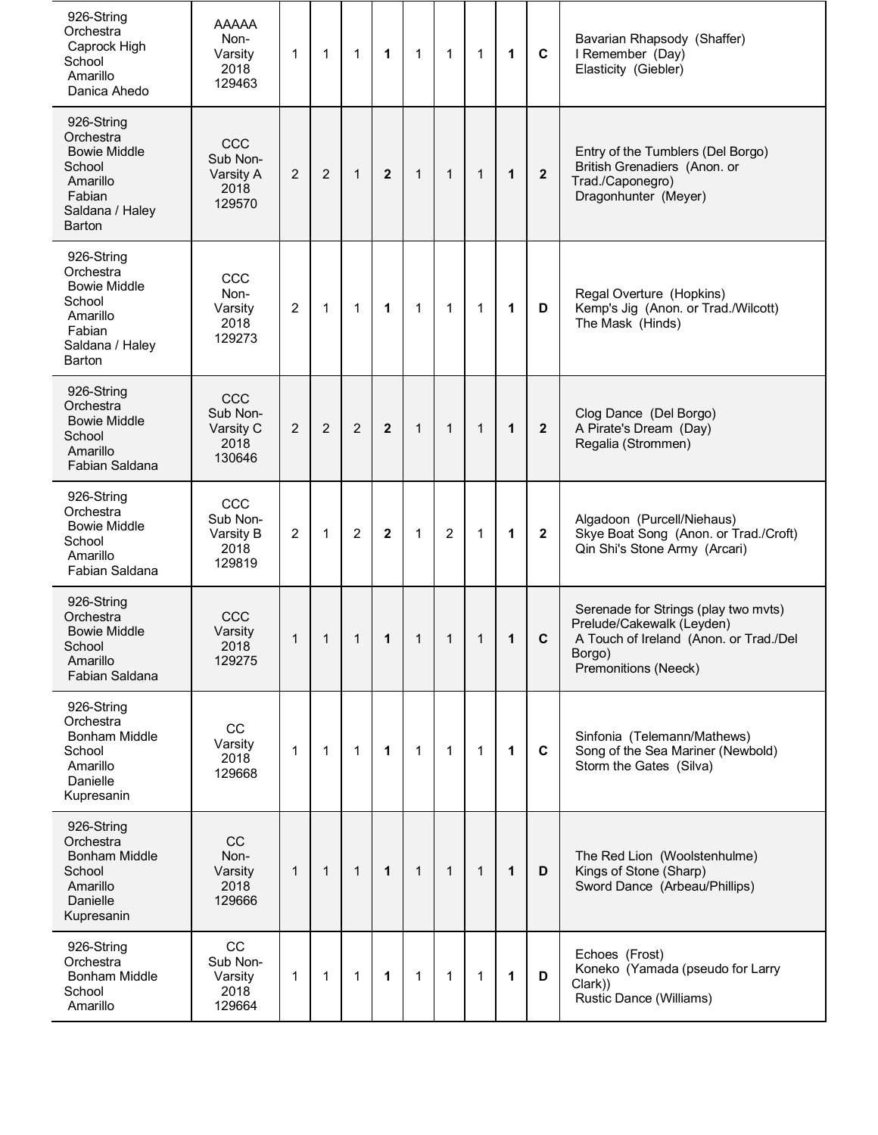| 926-String<br>Orchestra<br>Caprock High<br>School<br>Amarillo<br>Danica Ahedo                               | AAAAA<br>Non-<br>Varsity<br>2018<br>129463     | $\mathbf{1}$   | $\mathbf{1}$   | $\mathbf{1}$   | 1                       | $\mathbf{1}$ | $\mathbf{1}$   | 1            | 1            | $\mathbf c$    | Bavarian Rhapsody (Shaffer)<br>I Remember (Day)<br>Elasticity (Giebler)                                                                       |
|-------------------------------------------------------------------------------------------------------------|------------------------------------------------|----------------|----------------|----------------|-------------------------|--------------|----------------|--------------|--------------|----------------|-----------------------------------------------------------------------------------------------------------------------------------------------|
| 926-String<br>Orchestra<br><b>Bowie Middle</b><br>School<br>Amarillo<br>Fabian<br>Saldana / Haley<br>Barton | CCC<br>Sub Non-<br>Varsity A<br>2018<br>129570 | $\overline{2}$ | $\overline{2}$ | $\mathbf{1}$   | $\overline{2}$          | $\mathbf{1}$ | $\mathbf{1}$   | 1            | $\mathbf{1}$ | $\mathbf{2}$   | Entry of the Tumblers (Del Borgo)<br>British Grenadiers (Anon. or<br>Trad./Caponegro)<br>Dragonhunter (Meyer)                                 |
| 926-String<br>Orchestra<br><b>Bowie Middle</b><br>School<br>Amarillo<br>Fabian<br>Saldana / Haley<br>Barton | CCC<br>Non-<br>Varsity<br>2018<br>129273       | $\overline{2}$ | $\mathbf{1}$   | 1              | 1                       | 1            | 1              | 1            | 1            | D              | Regal Overture (Hopkins)<br>Kemp's Jig (Anon. or Trad./Wilcott)<br>The Mask (Hinds)                                                           |
| 926-String<br>Orchestra<br><b>Bowie Middle</b><br>School<br>Amarillo<br>Fabian Saldana                      | CCC<br>Sub Non-<br>Varsity C<br>2018<br>130646 | 2              | $\overline{2}$ | $\overline{2}$ | $\mathbf{2}$            | $\mathbf{1}$ | $\mathbf{1}$   | $\mathbf{1}$ | $\mathbf{1}$ | $\overline{2}$ | Clog Dance (Del Borgo)<br>A Pirate's Dream (Day)<br>Regalia (Strommen)                                                                        |
| 926-String<br>Orchestra<br><b>Bowie Middle</b><br>School<br>Amarillo<br>Fabian Saldana                      | CCC<br>Sub Non-<br>Varsity B<br>2018<br>129819 | $\overline{2}$ | $\mathbf{1}$   | $\overline{2}$ | $\overline{\mathbf{2}}$ | 1            | $\overline{2}$ | 1            | 1            | $\mathbf{2}$   | Algadoon (Purcell/Niehaus)<br>Skye Boat Song (Anon. or Trad./Croft)<br>Qin Shi's Stone Army (Arcari)                                          |
| 926-String<br>Orchestra<br><b>Bowie Middle</b><br>School<br>Amarillo<br>Fabian Saldana                      | CCC<br>Varsity<br>2018<br>129275               | 1              | 1              | 1              | 1                       | 1            | 1              | 1            | 1            | $\mathbf C$    | Serenade for Strings (play two mvts)<br>Prelude/Cakewalk (Leyden)<br>A Touch of Ireland (Anon. or Trad./Del<br>Borgo)<br>Premonitions (Neeck) |
| 926-String<br>Orchestra<br><b>Bonham Middle</b><br>School<br>Amarillo<br>Danielle<br>Kupresanin             | CC<br>Varsity<br>2018<br>129668                | 1              | $\mathbf{1}$   | 1              | $\mathbf{1}$            | $\mathbf{1}$ | $\mathbf{1}$   | 1            | $\mathbf{1}$ | C              | Sinfonia (Telemann/Mathews)<br>Song of the Sea Mariner (Newbold)<br>Storm the Gates (Silva)                                                   |
| 926-String<br>Orchestra<br><b>Bonham Middle</b><br>School<br>Amarillo<br>Danielle<br>Kupresanin             | CC<br>Non-<br>Varsity<br>2018<br>129666        | $\mathbf{1}$   | $\mathbf{1}$   | $\mathbf{1}$   | $\mathbf{1}$            | $\mathbf{1}$ | $\mathbf{1}$   | $\mathbf{1}$ | 1            | D              | The Red Lion (Woolstenhulme)<br>Kings of Stone (Sharp)<br>Sword Dance (Arbeau/Phillips)                                                       |
| 926-String<br>Orchestra<br><b>Bonham Middle</b><br>School<br>Amarillo                                       | CC<br>Sub Non-<br>Varsity<br>2018<br>129664    | $\mathbf{1}$   | $\mathbf{1}$   | 1              | 1                       | $\mathbf{1}$ | $\mathbf{1}$   | 1            | 1            | D              | Echoes (Frost)<br>Koneko (Yamada (pseudo for Larry<br>Clark))<br>Rustic Dance (Williams)                                                      |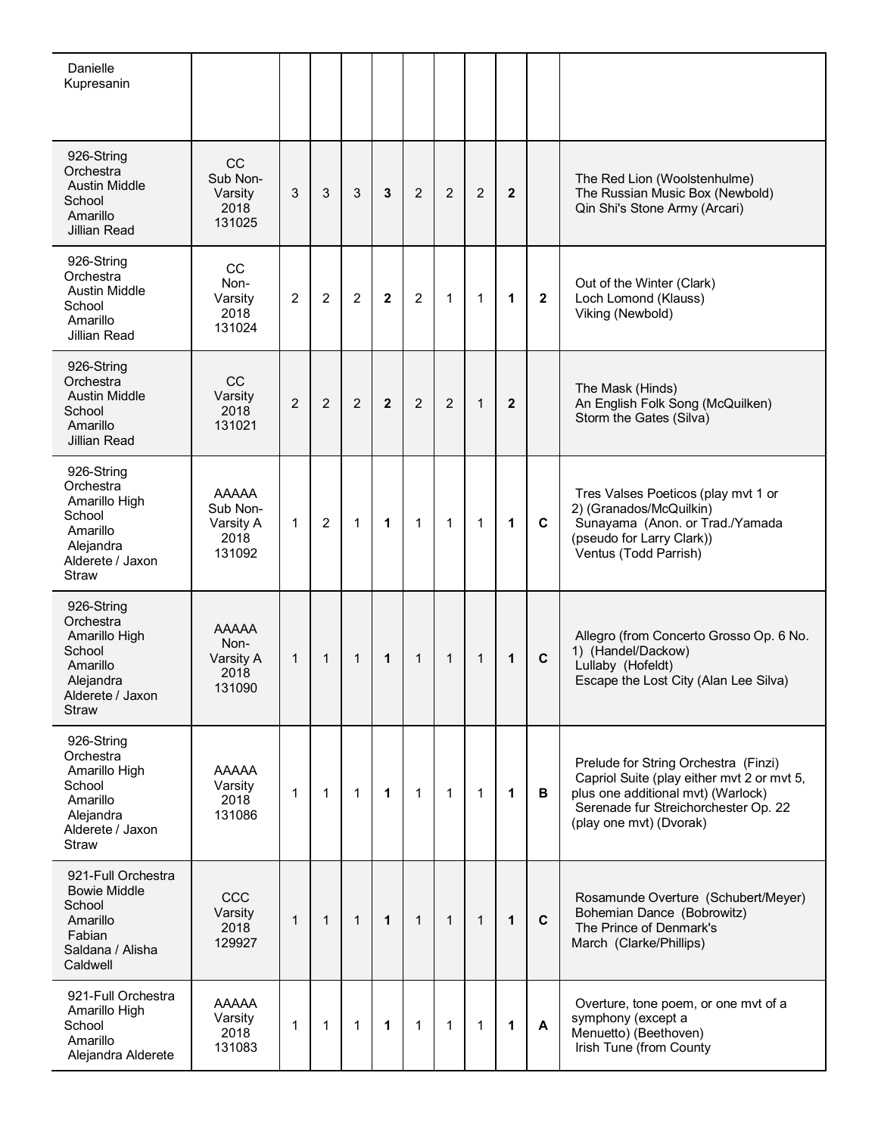| Danielle<br>Kupresanin                                                                                          |                                                         |                |                |              |              |                |                |                |              |              |                                                                                                                                                                                             |
|-----------------------------------------------------------------------------------------------------------------|---------------------------------------------------------|----------------|----------------|--------------|--------------|----------------|----------------|----------------|--------------|--------------|---------------------------------------------------------------------------------------------------------------------------------------------------------------------------------------------|
| 926-String<br>Orchestra<br><b>Austin Middle</b><br>School<br>Amarillo<br><b>Jillian Read</b>                    | <b>CC</b><br>Sub Non-<br>Varsity<br>2018<br>131025      | 3              | 3              | 3            | 3            | $\overline{2}$ | $\overline{2}$ | $\overline{2}$ | $\mathbf{2}$ |              | The Red Lion (Woolstenhulme)<br>The Russian Music Box (Newbold)<br>Qin Shi's Stone Army (Arcari)                                                                                            |
| 926-String<br>Orchestra<br><b>Austin Middle</b><br>School<br>Amarillo<br>Jillian Read                           | CC<br>Non-<br>Varsity<br>2018<br>131024                 | $\overline{2}$ | $\overline{2}$ | 2            | $\mathbf{2}$ | $\overline{2}$ | $\mathbf{1}$   | 1              | 1            | $\mathbf{2}$ | Out of the Winter (Clark)<br>Loch Lomond (Klauss)<br>Viking (Newbold)                                                                                                                       |
| 926-String<br>Orchestra<br><b>Austin Middle</b><br>School<br>Amarillo<br><b>Jillian Read</b>                    | CC<br>Varsity<br>2018<br>131021                         | $\overline{2}$ | $\overline{2}$ | 2            | $\mathbf{2}$ | $\overline{2}$ | 2              | $\mathbf{1}$   | $\mathbf{2}$ |              | The Mask (Hinds)<br>An English Folk Song (McQuilken)<br>Storm the Gates (Silva)                                                                                                             |
| 926-String<br>Orchestra<br>Amarillo High<br>School<br>Amarillo<br>Alejandra<br>Alderete / Jaxon<br><b>Straw</b> | <b>AAAAA</b><br>Sub Non-<br>Varsity A<br>2018<br>131092 | $\mathbf{1}$   | $\overline{2}$ | $\mathbf{1}$ | 1            | $\mathbf{1}$   | $\mathbf{1}$   | 1              | $\mathbf 1$  | C            | Tres Valses Poeticos (play mvt 1 or<br>2) (Granados/McQuilkin)<br>Sunayama (Anon. or Trad./Yamada<br>(pseudo for Larry Clark))<br>Ventus (Todd Parrish)                                     |
| 926-String<br>Orchestra<br>Amarillo High<br>School<br>Amarillo<br>Alejandra<br>Alderete / Jaxon<br>Straw        | <b>AAAAA</b><br>Non-<br>Varsity A<br>2018<br>131090     | $\mathbf{1}$   | $\mathbf{1}$   | $\mathbf{1}$ | 1            | $\mathbf{1}$   | $\mathbf{1}$   | $\mathbf{1}$   | 1            | $\mathbf c$  | Allegro (from Concerto Grosso Op. 6 No.<br>1) (Handel/Dackow)<br>Lullaby (Hofeldt)<br>Escape the Lost City (Alan Lee Silva)                                                                 |
| 926-String<br>Orchestra<br>Amarillo High<br>School<br>Amarillo<br>Alejandra<br>Alderete / Jaxon<br>Straw        | <b>AAAAA</b><br>Varsity<br>2018<br>131086               | 1              | $\mathbf 1$    | $\mathbf{1}$ | 1            | 1              | $\mathbf 1$    | 1              | $\mathbf 1$  | в            | Prelude for String Orchestra (Finzi)<br>Capriol Suite (play either mvt 2 or mvt 5,<br>plus one additional mvt) (Warlock)<br>Serenade fur Streichorchester Op. 22<br>(play one mvt) (Dvorak) |
| 921-Full Orchestra<br><b>Bowie Middle</b><br>School<br>Amarillo<br>Fabian<br>Saldana / Alisha<br>Caldwell       | CCC<br>Varsity<br>2018<br>129927                        | $\mathbf 1$    | $\mathbf{1}$   | $\mathbf{1}$ | 1            | $\mathbf{1}$   | $\mathbf{1}$   | $\mathbf 1$    | 1            | $\mathbf c$  | Rosamunde Overture (Schubert/Meyer)<br>Bohemian Dance (Bobrowitz)<br>The Prince of Denmark's<br>March (Clarke/Phillips)                                                                     |
| 921-Full Orchestra<br>Amarillo High<br>School<br>Amarillo<br>Alejandra Alderete                                 | <b>AAAAA</b><br>Varsity<br>2018<br>131083               | 1              | 1              | $\mathbf{1}$ | 1            | 1              | $\mathbf 1$    | 1              | 1            | A            | Overture, tone poem, or one mvt of a<br>symphony (except a<br>Menuetto) (Beethoven)<br>Irish Tune (from County                                                                              |